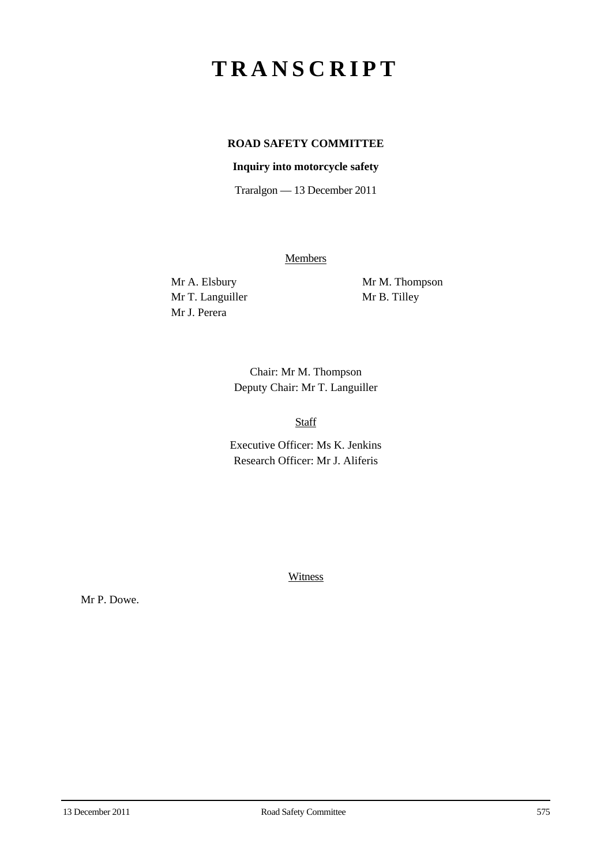## **TRANSCRIPT**

## **ROAD SAFETY COMMITTEE**

## **Inquiry into motorcycle safety**

Traralgon — 13 December 2011

**Members** 

Mr T. Languiller Mr B. Tilley Mr J. Perera

Mr A. Elsbury Mr M. Thompson

Chair: Mr M. Thompson Deputy Chair: Mr T. Languiller

Staff

Executive Officer: Ms K. Jenkins Research Officer: Mr J. Aliferis

**Witness** 

Mr P. Dowe.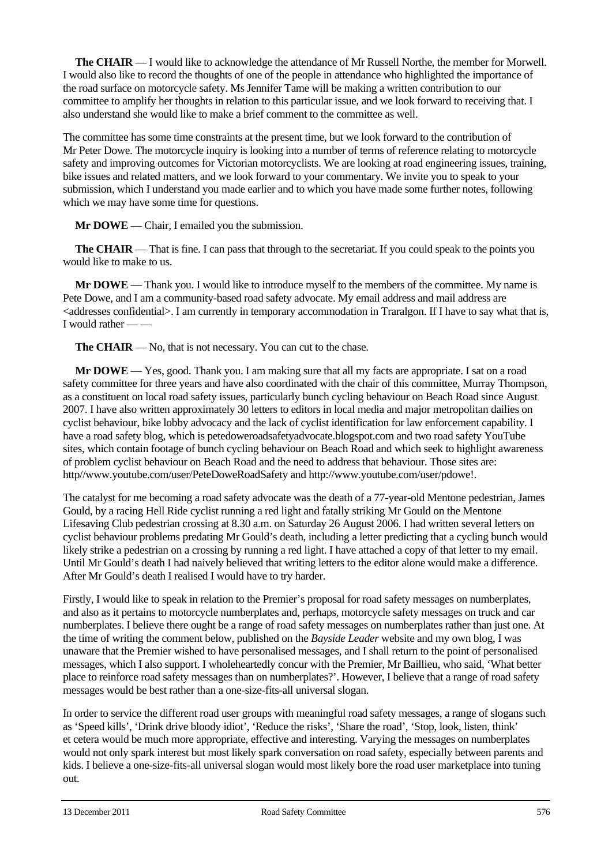**The CHAIR** — I would like to acknowledge the attendance of Mr Russell Northe, the member for Morwell. I would also like to record the thoughts of one of the people in attendance who highlighted the importance of the road surface on motorcycle safety. Ms Jennifer Tame will be making a written contribution to our committee to amplify her thoughts in relation to this particular issue, and we look forward to receiving that. I also understand she would like to make a brief comment to the committee as well.

The committee has some time constraints at the present time, but we look forward to the contribution of Mr Peter Dowe. The motorcycle inquiry is looking into a number of terms of reference relating to motorcycle safety and improving outcomes for Victorian motorcyclists. We are looking at road engineering issues, training, bike issues and related matters, and we look forward to your commentary. We invite you to speak to your submission, which I understand you made earlier and to which you have made some further notes, following which we may have some time for questions.

**Mr DOWE** — Chair, I emailed you the submission.

**The CHAIR** — That is fine. I can pass that through to the secretariat. If you could speak to the points you would like to make to us.

**Mr DOWE** — Thank you. I would like to introduce myself to the members of the committee. My name is Pete Dowe, and I am a community-based road safety advocate. My email address and mail address are  $\leq$  addresses confidential $>$ . I am currently in temporary accommodation in Traralgon. If I have to say what that is, I would rather — —

**The CHAIR** — No, that is not necessary. You can cut to the chase.

**Mr DOWE** — Yes, good. Thank you. I am making sure that all my facts are appropriate. I sat on a road safety committee for three years and have also coordinated with the chair of this committee, Murray Thompson, as a constituent on local road safety issues, particularly bunch cycling behaviour on Beach Road since August 2007. I have also written approximately 30 letters to editors in local media and major metropolitan dailies on cyclist behaviour, bike lobby advocacy and the lack of cyclist identification for law enforcement capability. I have a road safety blog, which is petedoweroadsafetyadvocate.blogspot.com and two road safety YouTube sites, which contain footage of bunch cycling behaviour on Beach Road and which seek to highlight awareness of problem cyclist behaviour on Beach Road and the need to address that behaviour. Those sites are: http//www.youtube.com/user/PeteDoweRoadSafety and http://www.youtube.com/user/pdowe!.

The catalyst for me becoming a road safety advocate was the death of a 77-year-old Mentone pedestrian, James Gould, by a racing Hell Ride cyclist running a red light and fatally striking Mr Gould on the Mentone Lifesaving Club pedestrian crossing at 8.30 a.m. on Saturday 26 August 2006. I had written several letters on cyclist behaviour problems predating Mr Gould's death, including a letter predicting that a cycling bunch would likely strike a pedestrian on a crossing by running a red light. I have attached a copy of that letter to my email. Until Mr Gould's death I had naively believed that writing letters to the editor alone would make a difference. After Mr Gould's death I realised I would have to try harder.

Firstly, I would like to speak in relation to the Premier's proposal for road safety messages on numberplates, and also as it pertains to motorcycle numberplates and, perhaps, motorcycle safety messages on truck and car numberplates. I believe there ought be a range of road safety messages on numberplates rather than just one. At the time of writing the comment below, published on the *Bayside Leader* website and my own blog, I was unaware that the Premier wished to have personalised messages, and I shall return to the point of personalised messages, which I also support. I wholeheartedly concur with the Premier, Mr Baillieu, who said, 'What better place to reinforce road safety messages than on numberplates?'. However, I believe that a range of road safety messages would be best rather than a one-size-fits-all universal slogan.

In order to service the different road user groups with meaningful road safety messages, a range of slogans such as 'Speed kills', 'Drink drive bloody idiot', 'Reduce the risks', 'Share the road', 'Stop, look, listen, think' et cetera would be much more appropriate, effective and interesting. Varying the messages on numberplates would not only spark interest but most likely spark conversation on road safety, especially between parents and kids. I believe a one-size-fits-all universal slogan would most likely bore the road user marketplace into tuning out.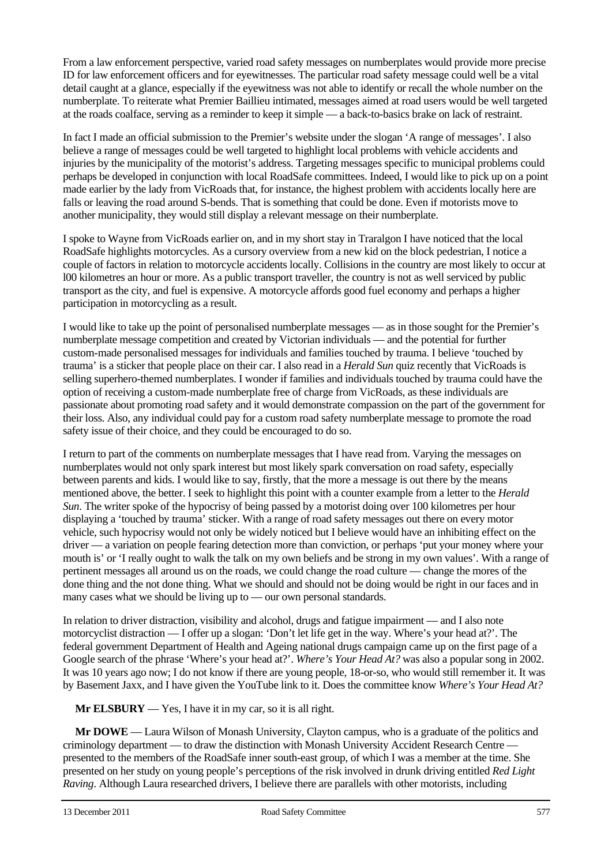From a law enforcement perspective, varied road safety messages on numberplates would provide more precise ID for law enforcement officers and for eyewitnesses. The particular road safety message could well be a vital detail caught at a glance, especially if the eyewitness was not able to identify or recall the whole number on the numberplate. To reiterate what Premier Baillieu intimated, messages aimed at road users would be well targeted at the roads coalface, serving as a reminder to keep it simple — a back-to-basics brake on lack of restraint.

In fact I made an official submission to the Premier's website under the slogan 'A range of messages'. I also believe a range of messages could be well targeted to highlight local problems with vehicle accidents and injuries by the municipality of the motorist's address. Targeting messages specific to municipal problems could perhaps be developed in conjunction with local RoadSafe committees. Indeed, I would like to pick up on a point made earlier by the lady from VicRoads that, for instance, the highest problem with accidents locally here are falls or leaving the road around S-bends. That is something that could be done. Even if motorists move to another municipality, they would still display a relevant message on their numberplate.

I spoke to Wayne from VicRoads earlier on, and in my short stay in Traralgon I have noticed that the local RoadSafe highlights motorcycles. As a cursory overview from a new kid on the block pedestrian, I notice a couple of factors in relation to motorcycle accidents locally. Collisions in the country are most likely to occur at l00 kilometres an hour or more. As a public transport traveller, the country is not as well serviced by public transport as the city, and fuel is expensive. A motorcycle affords good fuel economy and perhaps a higher participation in motorcycling as a result.

I would like to take up the point of personalised numberplate messages — as in those sought for the Premier's numberplate message competition and created by Victorian individuals — and the potential for further custom-made personalised messages for individuals and families touched by trauma. I believe 'touched by trauma' is a sticker that people place on their car. I also read in a *Herald Sun* quiz recently that VicRoads is selling superhero-themed numberplates. I wonder if families and individuals touched by trauma could have the option of receiving a custom-made numberplate free of charge from VicRoads, as these individuals are passionate about promoting road safety and it would demonstrate compassion on the part of the government for their loss. Also, any individual could pay for a custom road safety numberplate message to promote the road safety issue of their choice, and they could be encouraged to do so.

I return to part of the comments on numberplate messages that I have read from. Varying the messages on numberplates would not only spark interest but most likely spark conversation on road safety, especially between parents and kids. I would like to say, firstly, that the more a message is out there by the means mentioned above, the better. I seek to highlight this point with a counter example from a letter to the *Herald Sun*. The writer spoke of the hypocrisy of being passed by a motorist doing over 100 kilometres per hour displaying a 'touched by trauma' sticker. With a range of road safety messages out there on every motor vehicle, such hypocrisy would not only be widely noticed but I believe would have an inhibiting effect on the driver — a variation on people fearing detection more than conviction, or perhaps 'put your money where your mouth is' or 'I really ought to walk the talk on my own beliefs and be strong in my own values'. With a range of pertinent messages all around us on the roads, we could change the road culture — change the mores of the done thing and the not done thing. What we should and should not be doing would be right in our faces and in many cases what we should be living up to — our own personal standards.

In relation to driver distraction, visibility and alcohol, drugs and fatigue impairment — and I also note motorcyclist distraction — I offer up a slogan: 'Don't let life get in the way. Where's your head at?'. The federal government Department of Health and Ageing national drugs campaign came up on the first page of a Google search of the phrase 'Where's your head at?'. *Where's Your Head At?* was also a popular song in 2002. It was 10 years ago now; I do not know if there are young people, 18-or-so, who would still remember it. It was by Basement Jaxx, and I have given the YouTube link to it. Does the committee know *Where's Your Head At?*

**Mr ELSBURY** — Yes, I have it in my car, so it is all right.

**Mr DOWE** — Laura Wilson of Monash University, Clayton campus, who is a graduate of the politics and criminology department — to draw the distinction with Monash University Accident Research Centre presented to the members of the RoadSafe inner south-east group, of which I was a member at the time. She presented on her study on young people's perceptions of the risk involved in drunk driving entitled *Red Light Raving*. Although Laura researched drivers, I believe there are parallels with other motorists, including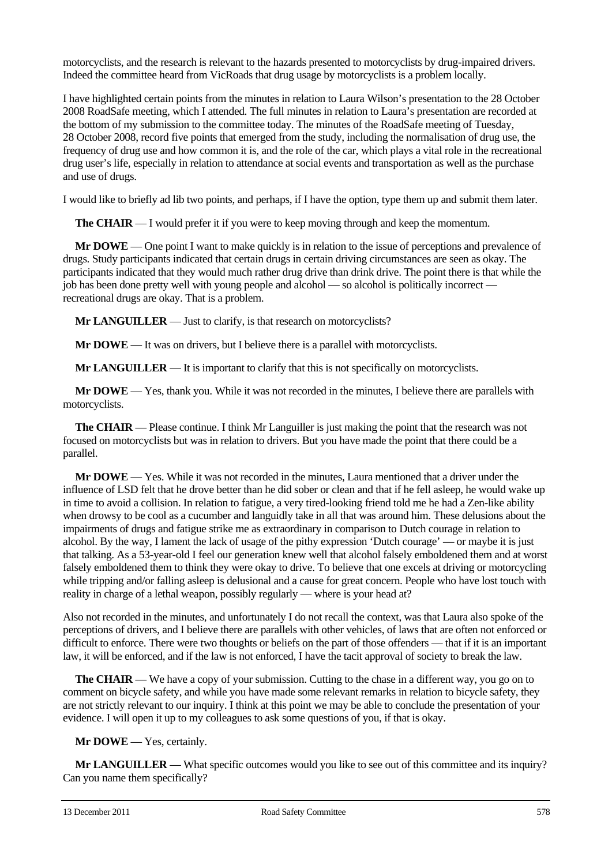motorcyclists, and the research is relevant to the hazards presented to motorcyclists by drug-impaired drivers. Indeed the committee heard from VicRoads that drug usage by motorcyclists is a problem locally.

I have highlighted certain points from the minutes in relation to Laura Wilson's presentation to the 28 October 2008 RoadSafe meeting, which I attended. The full minutes in relation to Laura's presentation are recorded at the bottom of my submission to the committee today. The minutes of the RoadSafe meeting of Tuesday, 28 October 2008, record five points that emerged from the study, including the normalisation of drug use, the frequency of drug use and how common it is, and the role of the car, which plays a vital role in the recreational drug user's life, especially in relation to attendance at social events and transportation as well as the purchase and use of drugs.

I would like to briefly ad lib two points, and perhaps, if I have the option, type them up and submit them later.

**The CHAIR** — I would prefer it if you were to keep moving through and keep the momentum.

**Mr DOWE** — One point I want to make quickly is in relation to the issue of perceptions and prevalence of drugs. Study participants indicated that certain drugs in certain driving circumstances are seen as okay. The participants indicated that they would much rather drug drive than drink drive. The point there is that while the job has been done pretty well with young people and alcohol — so alcohol is politically incorrect recreational drugs are okay. That is a problem.

**Mr LANGUILLER** — Just to clarify, is that research on motorcyclists?

**Mr DOWE** — It was on drivers, but I believe there is a parallel with motorcyclists.

**Mr LANGUILLER** — It is important to clarify that this is not specifically on motorcyclists.

**Mr DOWE** — Yes, thank you. While it was not recorded in the minutes, I believe there are parallels with motorcyclists.

**The CHAIR** — Please continue. I think Mr Languiller is just making the point that the research was not focused on motorcyclists but was in relation to drivers. But you have made the point that there could be a parallel.

**Mr DOWE** — Yes. While it was not recorded in the minutes, Laura mentioned that a driver under the influence of LSD felt that he drove better than he did sober or clean and that if he fell asleep, he would wake up in time to avoid a collision. In relation to fatigue, a very tired-looking friend told me he had a Zen-like ability when drowsy to be cool as a cucumber and languidly take in all that was around him. These delusions about the impairments of drugs and fatigue strike me as extraordinary in comparison to Dutch courage in relation to alcohol. By the way, I lament the lack of usage of the pithy expression 'Dutch courage' — or maybe it is just that talking. As a 53-year-old I feel our generation knew well that alcohol falsely emboldened them and at worst falsely emboldened them to think they were okay to drive. To believe that one excels at driving or motorcycling while tripping and/or falling asleep is delusional and a cause for great concern. People who have lost touch with reality in charge of a lethal weapon, possibly regularly — where is your head at?

Also not recorded in the minutes, and unfortunately I do not recall the context, was that Laura also spoke of the perceptions of drivers, and I believe there are parallels with other vehicles, of laws that are often not enforced or difficult to enforce. There were two thoughts or beliefs on the part of those offenders — that if it is an important law, it will be enforced, and if the law is not enforced, I have the tacit approval of society to break the law.

**The CHAIR** — We have a copy of your submission. Cutting to the chase in a different way, you go on to comment on bicycle safety, and while you have made some relevant remarks in relation to bicycle safety, they are not strictly relevant to our inquiry. I think at this point we may be able to conclude the presentation of your evidence. I will open it up to my colleagues to ask some questions of you, if that is okay.

**Mr DOWE** — Yes, certainly.

**Mr LANGUILLER** — What specific outcomes would you like to see out of this committee and its inquiry? Can you name them specifically?